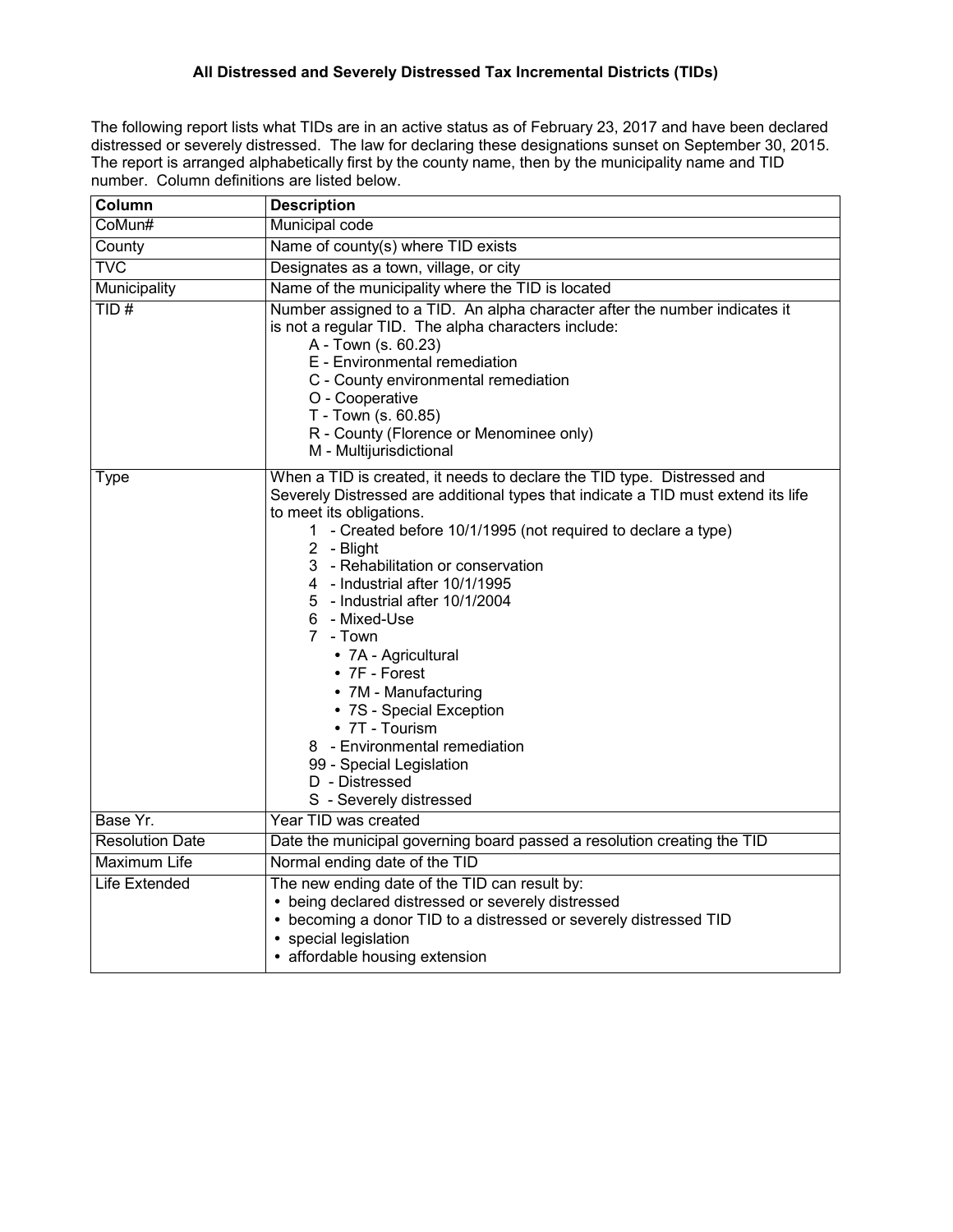## **All Distressed and Severely Distressed Tax Incremental Districts (TIDs)**

The following report lists what TIDs are in an active status as of February 23, 2017 and have been declared distressed or severely distressed. The law for declaring these designations sunset on September 30, 2015. The report is arranged alphabetically first by the county name, then by the municipality name and TID number. Column definitions are listed below.

| Column                  | <b>Description</b>                                                                                                                                                                                                                                                                                                                                                                                                                                                                                                                                                                                                                             |
|-------------------------|------------------------------------------------------------------------------------------------------------------------------------------------------------------------------------------------------------------------------------------------------------------------------------------------------------------------------------------------------------------------------------------------------------------------------------------------------------------------------------------------------------------------------------------------------------------------------------------------------------------------------------------------|
| CoMun#                  | <b>Municipal code</b>                                                                                                                                                                                                                                                                                                                                                                                                                                                                                                                                                                                                                          |
| County                  | Name of county(s) where TID exists                                                                                                                                                                                                                                                                                                                                                                                                                                                                                                                                                                                                             |
| $\overline{\text{TVC}}$ | Designates as a town, village, or city                                                                                                                                                                                                                                                                                                                                                                                                                                                                                                                                                                                                         |
| Municipality            | Name of the municipality where the TID is located                                                                                                                                                                                                                                                                                                                                                                                                                                                                                                                                                                                              |
| TID#                    | Number assigned to a TID. An alpha character after the number indicates it<br>is not a regular TID. The alpha characters include:<br>A - Town (s. 60.23)<br>E - Environmental remediation<br>C - County environmental remediation<br>O - Cooperative<br>T - Town (s. 60.85)<br>R - County (Florence or Menominee only)<br>M - Multijurisdictional                                                                                                                                                                                                                                                                                              |
| Type                    | When a TID is created, it needs to declare the TID type. Distressed and<br>Severely Distressed are additional types that indicate a TID must extend its life<br>to meet its obligations.<br>1 - Created before 10/1/1995 (not required to declare a type)<br>2 - Blight<br>3 - Rehabilitation or conservation<br>4 - Industrial after 10/1/1995<br>5 - Industrial after 10/1/2004<br>6 - Mixed-Use<br>7 - Town<br>• 7A - Agricultural<br>$\bullet$ 7F - Forest<br>• 7M - Manufacturing<br>• 7S - Special Exception<br>• 7T - Tourism<br>8 - Environmental remediation<br>99 - Special Legislation<br>D - Distressed<br>S - Severely distressed |
| Base Yr.                | Year TID was created                                                                                                                                                                                                                                                                                                                                                                                                                                                                                                                                                                                                                           |
| <b>Resolution Date</b>  | Date the municipal governing board passed a resolution creating the TID                                                                                                                                                                                                                                                                                                                                                                                                                                                                                                                                                                        |
| <b>Maximum Life</b>     | Normal ending date of the TID                                                                                                                                                                                                                                                                                                                                                                                                                                                                                                                                                                                                                  |
| Life Extended           | The new ending date of the TID can result by:<br>• being declared distressed or severely distressed<br>• becoming a donor TID to a distressed or severely distressed TID<br>• special legislation<br>• affordable housing extension                                                                                                                                                                                                                                                                                                                                                                                                            |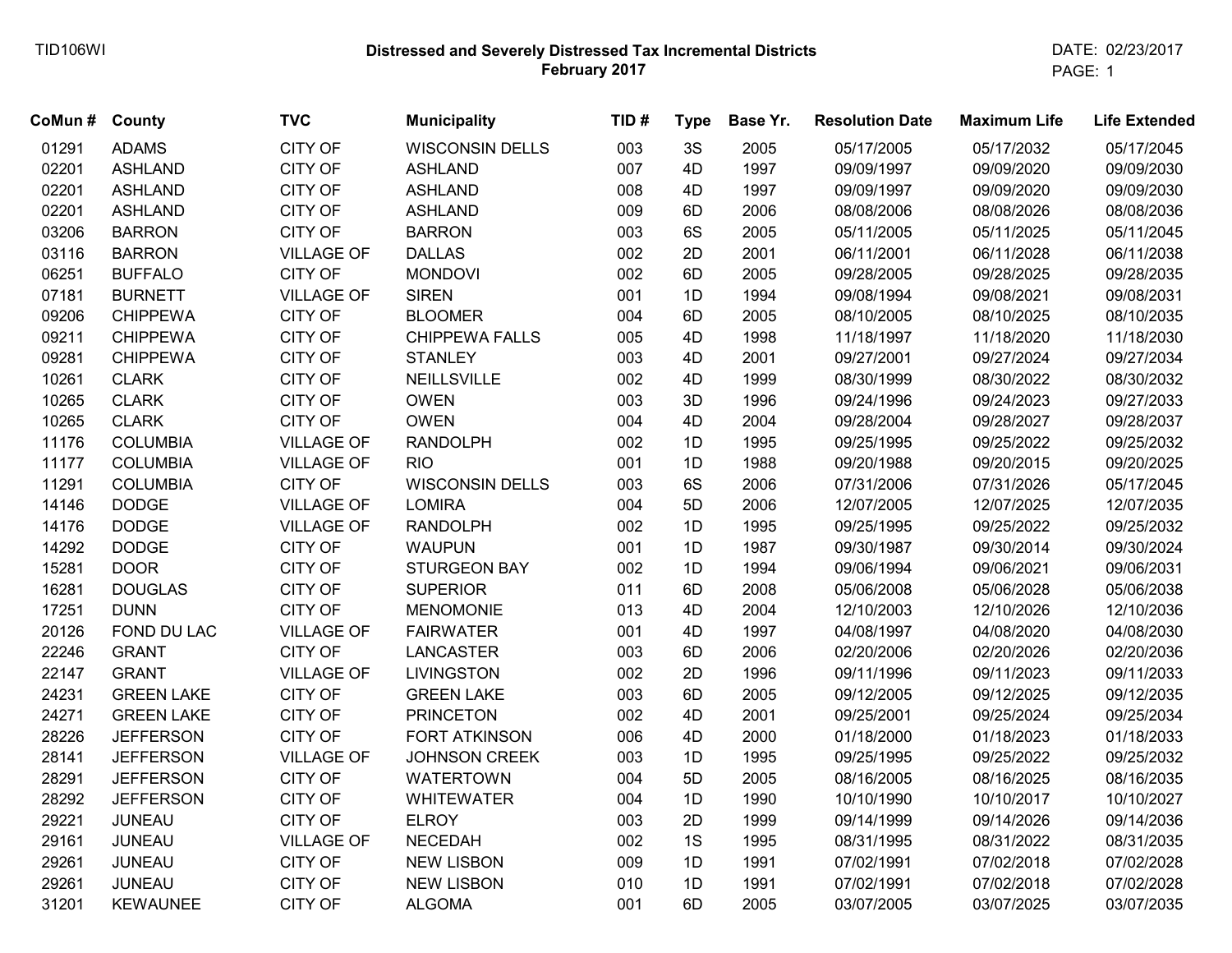## **Distressed and Severely Distressed Tax Incremental Districts February 2017** TID106WI DATE: 02/23/2017

PAGE: 1

| CoMun# | <b>County</b>     | <b>TVC</b>        | <b>Municipality</b>    | TID# | <b>Type</b> | Base Yr. | <b>Resolution Date</b> | <b>Maximum Life</b> | <b>Life Extended</b> |
|--------|-------------------|-------------------|------------------------|------|-------------|----------|------------------------|---------------------|----------------------|
| 01291  | <b>ADAMS</b>      | <b>CITY OF</b>    | <b>WISCONSIN DELLS</b> | 003  | 3S          | 2005     | 05/17/2005             | 05/17/2032          | 05/17/2045           |
| 02201  | <b>ASHLAND</b>    | <b>CITY OF</b>    | <b>ASHLAND</b>         | 007  | 4D          | 1997     | 09/09/1997             | 09/09/2020          | 09/09/2030           |
| 02201  | <b>ASHLAND</b>    | <b>CITY OF</b>    | <b>ASHLAND</b>         | 008  | 4D          | 1997     | 09/09/1997             | 09/09/2020          | 09/09/2030           |
| 02201  | <b>ASHLAND</b>    | <b>CITY OF</b>    | <b>ASHLAND</b>         | 009  | 6D          | 2006     | 08/08/2006             | 08/08/2026          | 08/08/2036           |
| 03206  | <b>BARRON</b>     | <b>CITY OF</b>    | <b>BARRON</b>          | 003  | 6S          | 2005     | 05/11/2005             | 05/11/2025          | 05/11/2045           |
| 03116  | <b>BARRON</b>     | <b>VILLAGE OF</b> | <b>DALLAS</b>          | 002  | 2D          | 2001     | 06/11/2001             | 06/11/2028          | 06/11/2038           |
| 06251  | <b>BUFFALO</b>    | <b>CITY OF</b>    | <b>MONDOVI</b>         | 002  | 6D          | 2005     | 09/28/2005             | 09/28/2025          | 09/28/2035           |
| 07181  | <b>BURNETT</b>    | <b>VILLAGE OF</b> | <b>SIREN</b>           | 001  | 1D          | 1994     | 09/08/1994             | 09/08/2021          | 09/08/2031           |
| 09206  | <b>CHIPPEWA</b>   | <b>CITY OF</b>    | <b>BLOOMER</b>         | 004  | 6D          | 2005     | 08/10/2005             | 08/10/2025          | 08/10/2035           |
| 09211  | <b>CHIPPEWA</b>   | <b>CITY OF</b>    | <b>CHIPPEWA FALLS</b>  | 005  | 4D          | 1998     | 11/18/1997             | 11/18/2020          | 11/18/2030           |
| 09281  | <b>CHIPPEWA</b>   | <b>CITY OF</b>    | <b>STANLEY</b>         | 003  | 4D          | 2001     | 09/27/2001             | 09/27/2024          | 09/27/2034           |
| 10261  | <b>CLARK</b>      | <b>CITY OF</b>    | NEILLSVILLE            | 002  | 4D          | 1999     | 08/30/1999             | 08/30/2022          | 08/30/2032           |
| 10265  | <b>CLARK</b>      | <b>CITY OF</b>    | <b>OWEN</b>            | 003  | 3D          | 1996     | 09/24/1996             | 09/24/2023          | 09/27/2033           |
| 10265  | <b>CLARK</b>      | <b>CITY OF</b>    | <b>OWEN</b>            | 004  | 4D          | 2004     | 09/28/2004             | 09/28/2027          | 09/28/2037           |
| 11176  | <b>COLUMBIA</b>   | <b>VILLAGE OF</b> | <b>RANDOLPH</b>        | 002  | 1D          | 1995     | 09/25/1995             | 09/25/2022          | 09/25/2032           |
| 11177  | <b>COLUMBIA</b>   | <b>VILLAGE OF</b> | <b>RIO</b>             | 001  | 1D          | 1988     | 09/20/1988             | 09/20/2015          | 09/20/2025           |
| 11291  | <b>COLUMBIA</b>   | <b>CITY OF</b>    | <b>WISCONSIN DELLS</b> | 003  | 6S          | 2006     | 07/31/2006             | 07/31/2026          | 05/17/2045           |
| 14146  | <b>DODGE</b>      | <b>VILLAGE OF</b> | <b>LOMIRA</b>          | 004  | 5D          | 2006     | 12/07/2005             | 12/07/2025          | 12/07/2035           |
| 14176  | <b>DODGE</b>      | <b>VILLAGE OF</b> | <b>RANDOLPH</b>        | 002  | 1D          | 1995     | 09/25/1995             | 09/25/2022          | 09/25/2032           |
| 14292  | <b>DODGE</b>      | <b>CITY OF</b>    | <b>WAUPUN</b>          | 001  | 1D          | 1987     | 09/30/1987             | 09/30/2014          | 09/30/2024           |
| 15281  | <b>DOOR</b>       | <b>CITY OF</b>    | <b>STURGEON BAY</b>    | 002  | 1D          | 1994     | 09/06/1994             | 09/06/2021          | 09/06/2031           |
| 16281  | <b>DOUGLAS</b>    | <b>CITY OF</b>    | <b>SUPERIOR</b>        | 011  | 6D          | 2008     | 05/06/2008             | 05/06/2028          | 05/06/2038           |
| 17251  | <b>DUNN</b>       | <b>CITY OF</b>    | <b>MENOMONIE</b>       | 013  | 4D          | 2004     | 12/10/2003             | 12/10/2026          | 12/10/2036           |
| 20126  | FOND DU LAC       | <b>VILLAGE OF</b> | <b>FAIRWATER</b>       | 001  | 4D          | 1997     | 04/08/1997             | 04/08/2020          | 04/08/2030           |
| 22246  | <b>GRANT</b>      | <b>CITY OF</b>    | <b>LANCASTER</b>       | 003  | 6D          | 2006     | 02/20/2006             | 02/20/2026          | 02/20/2036           |
| 22147  | <b>GRANT</b>      | <b>VILLAGE OF</b> | <b>LIVINGSTON</b>      | 002  | 2D          | 1996     | 09/11/1996             | 09/11/2023          | 09/11/2033           |
| 24231  | <b>GREEN LAKE</b> | <b>CITY OF</b>    | <b>GREEN LAKE</b>      | 003  | 6D          | 2005     | 09/12/2005             | 09/12/2025          | 09/12/2035           |
| 24271  | <b>GREEN LAKE</b> | <b>CITY OF</b>    | <b>PRINCETON</b>       | 002  | 4D          | 2001     | 09/25/2001             | 09/25/2024          | 09/25/2034           |
| 28226  | <b>JEFFERSON</b>  | <b>CITY OF</b>    | <b>FORT ATKINSON</b>   | 006  | 4D          | 2000     | 01/18/2000             | 01/18/2023          | 01/18/2033           |
| 28141  | <b>JEFFERSON</b>  | <b>VILLAGE OF</b> | <b>JOHNSON CREEK</b>   | 003  | 1D          | 1995     | 09/25/1995             | 09/25/2022          | 09/25/2032           |
| 28291  | <b>JEFFERSON</b>  | <b>CITY OF</b>    | <b>WATERTOWN</b>       | 004  | 5D          | 2005     | 08/16/2005             | 08/16/2025          | 08/16/2035           |
| 28292  | <b>JEFFERSON</b>  | <b>CITY OF</b>    | <b>WHITEWATER</b>      | 004  | 1D          | 1990     | 10/10/1990             | 10/10/2017          | 10/10/2027           |
| 29221  | <b>JUNEAU</b>     | <b>CITY OF</b>    | <b>ELROY</b>           | 003  | 2D          | 1999     | 09/14/1999             | 09/14/2026          | 09/14/2036           |
| 29161  | <b>JUNEAU</b>     | <b>VILLAGE OF</b> | <b>NECEDAH</b>         | 002  | 1S          | 1995     | 08/31/1995             | 08/31/2022          | 08/31/2035           |
| 29261  | <b>JUNEAU</b>     | <b>CITY OF</b>    | <b>NEW LISBON</b>      | 009  | 1D          | 1991     | 07/02/1991             | 07/02/2018          | 07/02/2028           |
| 29261  | <b>JUNEAU</b>     | <b>CITY OF</b>    | <b>NEW LISBON</b>      | 010  | 1D          | 1991     | 07/02/1991             | 07/02/2018          | 07/02/2028           |
| 31201  | <b>KEWAUNEE</b>   | <b>CITY OF</b>    | <b>ALGOMA</b>          | 001  | 6D          | 2005     | 03/07/2005             | 03/07/2025          | 03/07/2035           |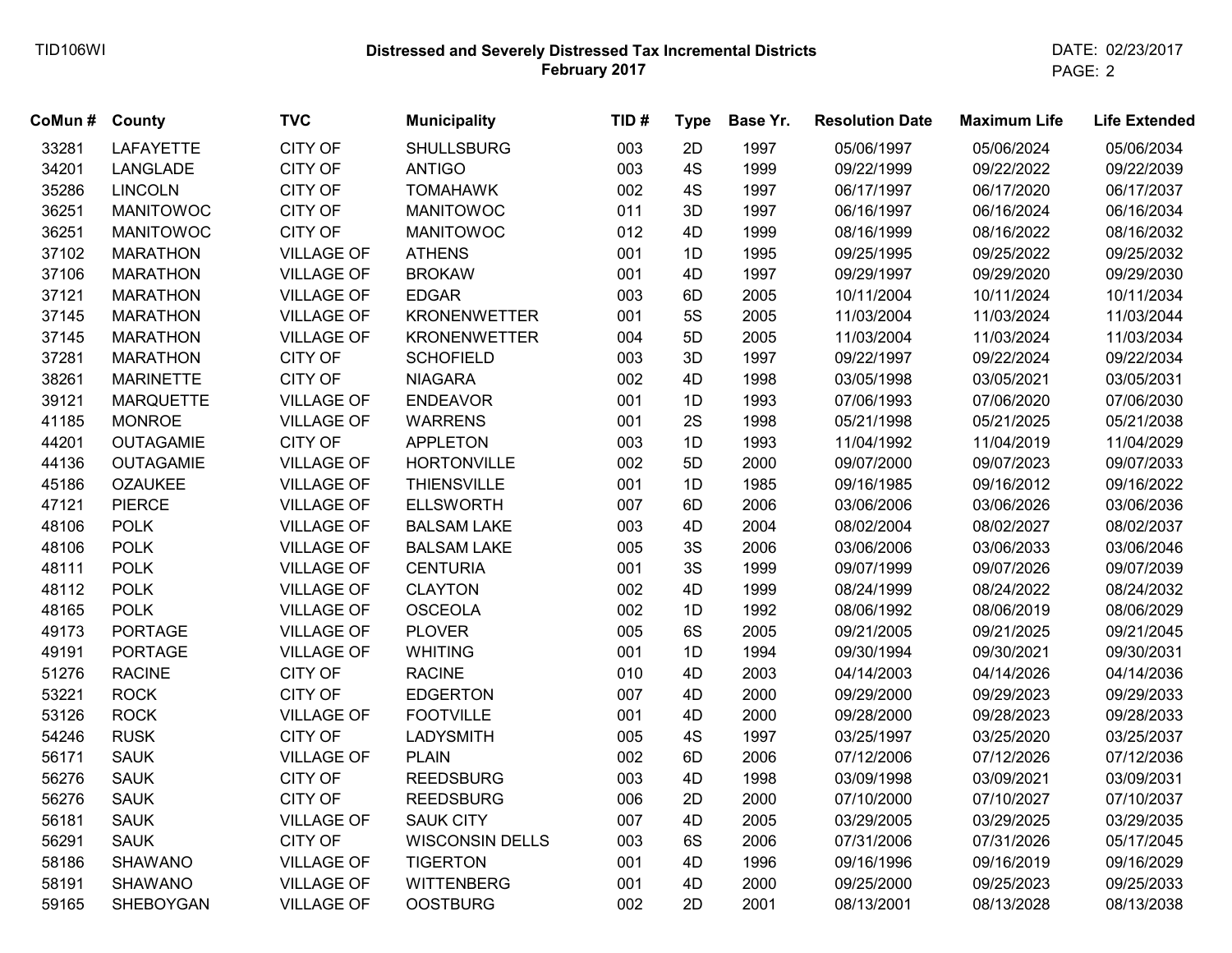## **Distressed and Severely Distressed Tax Incremental Districts February 2017** TID106WI DATE: 02/23/2017

PAGE: 2

| CoMun# | <b>County</b>    | <b>TVC</b>        | <b>Municipality</b>    | TID# | <b>Type</b> | Base Yr. | <b>Resolution Date</b> | <b>Maximum Life</b> | <b>Life Extended</b> |
|--------|------------------|-------------------|------------------------|------|-------------|----------|------------------------|---------------------|----------------------|
| 33281  | <b>LAFAYETTE</b> | CITY OF           | <b>SHULLSBURG</b>      | 003  | 2D          | 1997     | 05/06/1997             | 05/06/2024          | 05/06/2034           |
| 34201  | LANGLADE         | <b>CITY OF</b>    | <b>ANTIGO</b>          | 003  | 4S          | 1999     | 09/22/1999             | 09/22/2022          | 09/22/2039           |
| 35286  | <b>LINCOLN</b>   | <b>CITY OF</b>    | <b>TOMAHAWK</b>        | 002  | 4S          | 1997     | 06/17/1997             | 06/17/2020          | 06/17/2037           |
| 36251  | <b>MANITOWOC</b> | <b>CITY OF</b>    | <b>MANITOWOC</b>       | 011  | 3D          | 1997     | 06/16/1997             | 06/16/2024          | 06/16/2034           |
| 36251  | <b>MANITOWOC</b> | <b>CITY OF</b>    | <b>MANITOWOC</b>       | 012  | 4D          | 1999     | 08/16/1999             | 08/16/2022          | 08/16/2032           |
| 37102  | <b>MARATHON</b>  | <b>VILLAGE OF</b> | <b>ATHENS</b>          | 001  | 1D          | 1995     | 09/25/1995             | 09/25/2022          | 09/25/2032           |
| 37106  | <b>MARATHON</b>  | <b>VILLAGE OF</b> | <b>BROKAW</b>          | 001  | 4D          | 1997     | 09/29/1997             | 09/29/2020          | 09/29/2030           |
| 37121  | <b>MARATHON</b>  | <b>VILLAGE OF</b> | <b>EDGAR</b>           | 003  | 6D          | 2005     | 10/11/2004             | 10/11/2024          | 10/11/2034           |
| 37145  | <b>MARATHON</b>  | <b>VILLAGE OF</b> | <b>KRONENWETTER</b>    | 001  | 5S          | 2005     | 11/03/2004             | 11/03/2024          | 11/03/2044           |
| 37145  | <b>MARATHON</b>  | <b>VILLAGE OF</b> | <b>KRONENWETTER</b>    | 004  | 5D          | 2005     | 11/03/2004             | 11/03/2024          | 11/03/2034           |
| 37281  | <b>MARATHON</b>  | <b>CITY OF</b>    | <b>SCHOFIELD</b>       | 003  | 3D          | 1997     | 09/22/1997             | 09/22/2024          | 09/22/2034           |
| 38261  | <b>MARINETTE</b> | <b>CITY OF</b>    | <b>NIAGARA</b>         | 002  | 4D          | 1998     | 03/05/1998             | 03/05/2021          | 03/05/2031           |
| 39121  | <b>MARQUETTE</b> | <b>VILLAGE OF</b> | <b>ENDEAVOR</b>        | 001  | 1D          | 1993     | 07/06/1993             | 07/06/2020          | 07/06/2030           |
| 41185  | <b>MONROE</b>    | <b>VILLAGE OF</b> | <b>WARRENS</b>         | 001  | 2S          | 1998     | 05/21/1998             | 05/21/2025          | 05/21/2038           |
| 44201  | <b>OUTAGAMIE</b> | <b>CITY OF</b>    | <b>APPLETON</b>        | 003  | 1D          | 1993     | 11/04/1992             | 11/04/2019          | 11/04/2029           |
| 44136  | <b>OUTAGAMIE</b> | <b>VILLAGE OF</b> | <b>HORTONVILLE</b>     | 002  | 5D          | 2000     | 09/07/2000             | 09/07/2023          | 09/07/2033           |
| 45186  | <b>OZAUKEE</b>   | <b>VILLAGE OF</b> | <b>THIENSVILLE</b>     | 001  | 1D          | 1985     | 09/16/1985             | 09/16/2012          | 09/16/2022           |
| 47121  | <b>PIERCE</b>    | <b>VILLAGE OF</b> | <b>ELLSWORTH</b>       | 007  | 6D          | 2006     | 03/06/2006             | 03/06/2026          | 03/06/2036           |
| 48106  | <b>POLK</b>      | <b>VILLAGE OF</b> | <b>BALSAM LAKE</b>     | 003  | 4D          | 2004     | 08/02/2004             | 08/02/2027          | 08/02/2037           |
| 48106  | <b>POLK</b>      | <b>VILLAGE OF</b> | <b>BALSAM LAKE</b>     | 005  | 3S          | 2006     | 03/06/2006             | 03/06/2033          | 03/06/2046           |
| 48111  | <b>POLK</b>      | <b>VILLAGE OF</b> | <b>CENTURIA</b>        | 001  | 3S          | 1999     | 09/07/1999             | 09/07/2026          | 09/07/2039           |
| 48112  | <b>POLK</b>      | <b>VILLAGE OF</b> | <b>CLAYTON</b>         | 002  | 4D          | 1999     | 08/24/1999             | 08/24/2022          | 08/24/2032           |
| 48165  | <b>POLK</b>      | <b>VILLAGE OF</b> | <b>OSCEOLA</b>         | 002  | 1D          | 1992     | 08/06/1992             | 08/06/2019          | 08/06/2029           |
| 49173  | <b>PORTAGE</b>   | <b>VILLAGE OF</b> | <b>PLOVER</b>          | 005  | 6S          | 2005     | 09/21/2005             | 09/21/2025          | 09/21/2045           |
| 49191  | <b>PORTAGE</b>   | <b>VILLAGE OF</b> | <b>WHITING</b>         | 001  | 1D          | 1994     | 09/30/1994             | 09/30/2021          | 09/30/2031           |
| 51276  | <b>RACINE</b>    | <b>CITY OF</b>    | <b>RACINE</b>          | 010  | 4D          | 2003     | 04/14/2003             | 04/14/2026          | 04/14/2036           |
| 53221  | <b>ROCK</b>      | <b>CITY OF</b>    | <b>EDGERTON</b>        | 007  | 4D          | 2000     | 09/29/2000             | 09/29/2023          | 09/29/2033           |
| 53126  | <b>ROCK</b>      | <b>VILLAGE OF</b> | <b>FOOTVILLE</b>       | 001  | 4D          | 2000     | 09/28/2000             | 09/28/2023          | 09/28/2033           |
| 54246  | <b>RUSK</b>      | <b>CITY OF</b>    | <b>LADYSMITH</b>       | 005  | 4S          | 1997     | 03/25/1997             | 03/25/2020          | 03/25/2037           |
| 56171  | <b>SAUK</b>      | <b>VILLAGE OF</b> | <b>PLAIN</b>           | 002  | 6D          | 2006     | 07/12/2006             | 07/12/2026          | 07/12/2036           |
| 56276  | <b>SAUK</b>      | <b>CITY OF</b>    | <b>REEDSBURG</b>       | 003  | 4D          | 1998     | 03/09/1998             | 03/09/2021          | 03/09/2031           |
| 56276  | <b>SAUK</b>      | <b>CITY OF</b>    | <b>REEDSBURG</b>       | 006  | 2D          | 2000     | 07/10/2000             | 07/10/2027          | 07/10/2037           |
| 56181  | <b>SAUK</b>      | <b>VILLAGE OF</b> | <b>SAUK CITY</b>       | 007  | 4D          | 2005     | 03/29/2005             | 03/29/2025          | 03/29/2035           |
| 56291  | <b>SAUK</b>      | <b>CITY OF</b>    | <b>WISCONSIN DELLS</b> | 003  | 6S          | 2006     | 07/31/2006             | 07/31/2026          | 05/17/2045           |
| 58186  | <b>SHAWANO</b>   | <b>VILLAGE OF</b> | <b>TIGERTON</b>        | 001  | 4D          | 1996     | 09/16/1996             | 09/16/2019          | 09/16/2029           |
| 58191  | <b>SHAWANO</b>   | <b>VILLAGE OF</b> | <b>WITTENBERG</b>      | 001  | 4D          | 2000     | 09/25/2000             | 09/25/2023          | 09/25/2033           |
| 59165  | SHEBOYGAN        | <b>VILLAGE OF</b> | <b>OOSTBURG</b>        | 002  | 2D          | 2001     | 08/13/2001             | 08/13/2028          | 08/13/2038           |